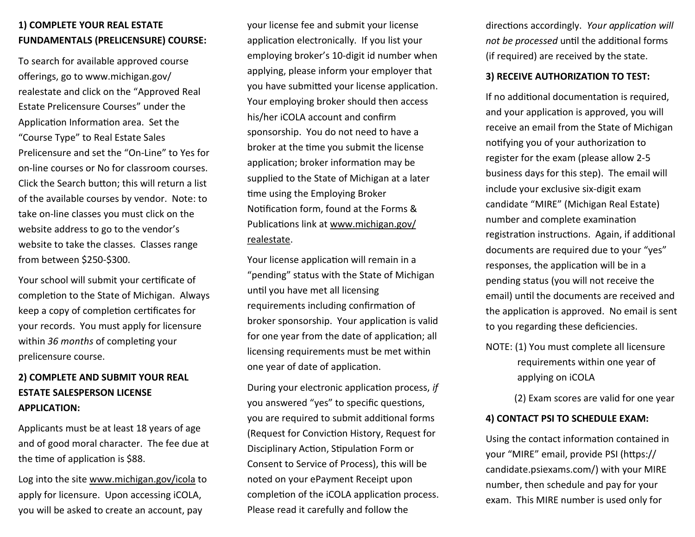# **1) COMPLETE YOUR REAL ESTATE FUNDAMENTALS (PRELICENSURE) COURSE:**

To search for available approved course offerings, go to www.michigan.gov/ realestate and click on the "Approved Real Estate Prelicensure Courses" under the Application Information area. Set the "Course Type" to Real Estate Sales Prelicensure and set the "On-Line" to Yes for on-line courses or No for classroom courses. Click the Search button; this will return a list of the available courses by vendor. Note: to take on-line classes you must click on the website address to go to the vendor's website to take the classes. Classes range from between \$250-\$300.

Your school will submit your certificate of completion to the State of Michigan. Always keep a copy of completion certificates for your records. You must apply for licensure within *36 months* of completing your prelicensure course.

# **2) COMPLETE AND SUBMIT YOUR REAL ESTATE SALESPERSON LICENSE APPLICATION:**

Applicants must be at least 18 years of age and of good moral character. The fee due at the time of application is \$88.

Log into the site www.michigan.gov/icola to apply for licensure. Upon accessing iCOLA, you will be asked to create an account, pay

your license fee and submit your license application electronically. If you list your employing broker's 10-digit id number when applying, please inform your employer that you have submitted your license application. Your employing broker should then access his/her iCOLA account and confirm sponsorship. You do not need to have a broker at the time you submit the license application; broker information may be supplied to the State of Michigan at a later time using the Employing Broker Notification form, found at the Forms & Publications link at www.michigan.gov/ realestate.

Your license application will remain in a "pending" status with the State of Michigan until you have met all licensing requirements including confirmation of broker sponsorship. Your application is valid for one year from the date of application; all licensing requirements must be met within one year of date of application.

During your electronic application process, *if* you answered "yes" to specific questions, you are required to submit additional forms (Request for Conviction History, Request for Disciplinary Action, Stipulation Form or Consent to Service of Process), this will be noted on your ePayment Receipt upon completion of the iCOLA application process. Please read it carefully and follow the

directions accordingly. *Your application will not be processed* until the additional forms (if required) are received by the state.

#### **3) RECEIVE AUTHORIZATION TO TEST:**

If no additional documentation is required, and your application is approved, you will receive an email from the State of Michigan notifying you of your authorization to register for the exam (please allow 2-5 business days for this step). The email will include your exclusive six-digit exam candidate "MIRE" (Michigan Real Estate) number and complete examination registration instructions. Again, if additional documents are required due to your "yes" responses, the application will be in a pending status (you will not receive the email) until the documents are received and the application is approved. No email is sent to you regarding these deficiencies.

NOTE: (1) You must complete all licensure requirements within one year of applying on iCOLA

(2) Exam scores are valid for one year

#### **4) CONTACT PSI TO SCHEDULE EXAM:**

Using the contact information contained in your "MIRE" email, provide PSI (https:// candidate.psiexams.com/) with your MIRE number, then schedule and pay for your exam. This MIRE number is used only for